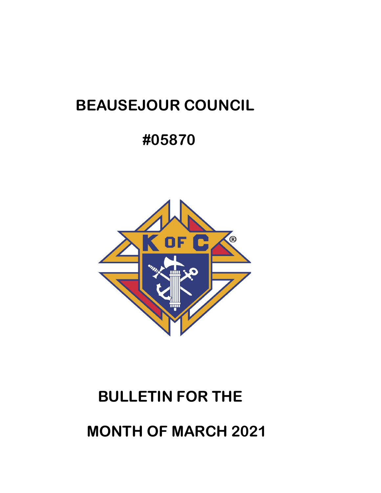# **BEAUSEJOUR COUNCIL**

# **#05870**



# **BULLETIN FOR THE**

 **MONTH OF MARCH 2021**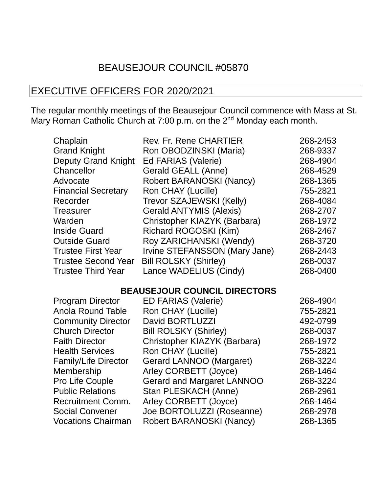## BEAUSEJOUR COUNCIL #05870

### EXECUTIVE OFFICERS FOR 2020/2021

The regular monthly meetings of the Beausejour Council commence with Mass at St. Mary Roman Catholic Church at 7:00 p.m. on the 2<sup>nd</sup> Monday each month.

| Chaplain                   | <b>Rev. Fr. Rene CHARTIER</b>  | 268-2453 |
|----------------------------|--------------------------------|----------|
| <b>Grand Knight</b>        | Ron OBODZINSKI (Maria)         | 268-9337 |
| <b>Deputy Grand Knight</b> | Ed FARIAS (Valerie)            | 268-4904 |
| Chancellor                 | Gerald GEALL (Anne)            | 268-4529 |
| Advocate                   | Robert BARANOSKI (Nancy)       | 268-1365 |
| <b>Financial Secretary</b> | Ron CHAY (Lucille)             | 755-2821 |
| Recorder                   | Trevor SZAJEWSKI (Kelly)       | 268-4084 |
| <b>Treasurer</b>           | <b>Gerald ANTYMIS (Alexis)</b> | 268-2707 |
| Warden                     | Christopher KIAZYK (Barbara)   | 268-1972 |
| <b>Inside Guard</b>        | Richard ROGOSKI (Kim)          | 268-2467 |
| <b>Outside Guard</b>       | Roy ZARICHANSKI (Wendy)        | 268-3720 |
| <b>Trustee First Year</b>  | Irvine STEFANSSON (Mary Jane)  | 268-2443 |
| <b>Trustee Second Year</b> | <b>Bill ROLSKY (Shirley)</b>   | 268-0037 |
| <b>Trustee Third Year</b>  | Lance WADELIUS (Cindy)         | 268-0400 |

#### **BEAUSEJOUR COUNCIL DIRECTORS**

| <b>Program Director</b>     | <b>ED FARIAS (Valerie)</b>        | 268-4904 |
|-----------------------------|-----------------------------------|----------|
| <b>Anola Round Table</b>    | Ron CHAY (Lucille)                | 755-2821 |
| <b>Community Director</b>   | David BORTLUZZI                   | 492-0799 |
| <b>Church Director</b>      | <b>Bill ROLSKY (Shirley)</b>      | 268-0037 |
| <b>Faith Director</b>       | Christopher KIAZYK (Barbara)      | 268-1972 |
| <b>Health Services</b>      | Ron CHAY (Lucille)                | 755-2821 |
| <b>Family/Life Director</b> | Gerard LANNOO (Margaret)          | 268-3224 |
| Membership                  | Arley CORBETT (Joyce)             | 268-1464 |
| <b>Pro Life Couple</b>      | <b>Gerard and Margaret LANNOO</b> | 268-3224 |
| <b>Public Relations</b>     | Stan PLESKACH (Anne)              | 268-2961 |
| <b>Recruitment Comm.</b>    | Arley CORBETT (Joyce)             | 268-1464 |
| <b>Social Convener</b>      | Joe BORTOLUZZI (Roseanne)         | 268-2978 |
| <b>Vocations Chairman</b>   | Robert BARANOSKI (Nancy)          | 268-1365 |
|                             |                                   |          |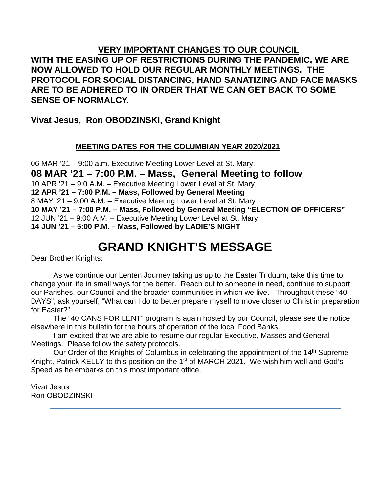#### **VERY IMPORTANT CHANGES TO OUR COUNCIL WITH THE EASING UP OF RESTRICTIONS DURING THE PANDEMIC, WE ARE NOW ALLOWED TO HOLD OUR REGULAR MONTHLY MEETINGS. THE PROTOCOL FOR SOCIAL DISTANCING, HAND SANATIZING AND FACE MASKS ARE TO BE ADHERED TO IN ORDER THAT WE CAN GET BACK TO SOME SENSE OF NORMALCY.**

#### **Vivat Jesus, Ron OBODZINSKI, Grand Knight**

#### **MEETING DATES FOR THE COLUMBIAN YEAR 2020/2021**

 MAR '21 – 9:00 a.m. Executive Meeting Lower Level at St. Mary. **MAR '21 – 7:00 P.M. – Mass, General Meeting to follow** APR '21 – 9:0 A.M. – Executive Meeting Lower Level at St. Mary **APR '21 – 7:00 P.M. – Mass, Followed by General Meeting** MAY '21 – 9:00 A.M. – Executive Meeting Lower Level at St. Mary **MAY '21 – 7:00 P.M. – Mass, Followed by General Meeting "ELECTION OF OFFICERS"** JUN '21 – 9:00 A.M. – Executive Meeting Lower Level at St. Mary **JUN '21 – 5:00 P.M. – Mass, Followed by LADIE'S NIGHT**

# **GRAND KNIGHT'S MESSAGE**

Dear Brother Knights:

As we continue our Lenten Journey taking us up to the Easter Triduum, take this time to change your life in small ways for the better. Reach out to someone in need, continue to support our Parishes, our Council and the broader communities in which we live. Throughout these "40 DAYS", ask yourself, "What can I do to better prepare myself to move closer to Christ in preparation for Easter?"

The "40 CANS FOR LENT" program is again hosted by our Council, please see the notice elsewhere in this bulletin for the hours of operation of the local Food Banks.

I am excited that we are able to resume our regular Executive, Masses and General Meetings. Please follow the safety protocols.

Our Order of the Knights of Columbus in celebrating the appointment of the 14<sup>th</sup> Supreme Knight, Patrick KELLY to this position on the 1<sup>st</sup> of MARCH 2021. We wish him well and God's Speed as he embarks on this most important office.

Vivat Jesus Ron OBODZINSKI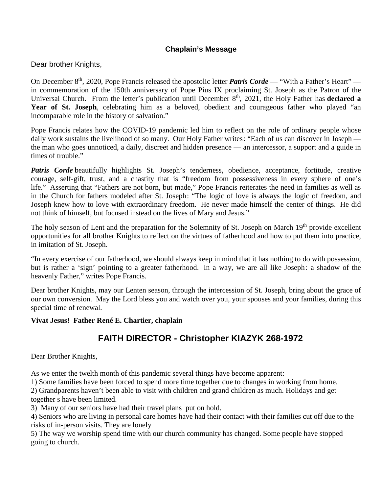#### **Chaplain's Message**

Dear brother Knights,

On December 8th, 2020, Pope Francis released the apostolic letter *Patris [Corde](http://r20.rs6.net/tn.jsp?f=001MooKb5SbCnFZ2-AB9n1Azh1oMaiWtoJamzN7MVJJ322lUFQ_XZHFp0jXf5NzXNk3qSGjoEoEkgEsN9xKW9h-BEiMQFQRgd6BAT7qI8CBPoXvnqnnMCGy8c9Kxckbd3nQhzgyoIwjX3_yvSNsI2yCCN3wkusbUiH7aqEpVzwJfCvCERdeG4Nj0YAHj9HLhlW2UaS3Pdw9iqNMuypdUFWD996VnfWE5R3dH5t7XBDrccUdEqZgKMfCR8QXL9-DGDvB2vyBkOm0_2nB27XZsx7ZavWT_dv5H9fL&c=NrJo3rX57ZsuodaH6N_S94NRTWdjH-WfFShAhuSinhTmOtCFajOeOA==&ch=6KAl20DwW0ruuQNZZNQ7ThDgOwmuoXsYCO7yi8EPSzP7YwhNPc7_9w==)* — "With a Father's Heart" in commemoration of the 150th anniversary of Pope Pius IX proclaiming St. Joseph as the Patron of the Universal Church. From the letter's publication until December 8th, 2021, the Holy Father has **[declared](http://r20.rs6.net/tn.jsp?f=001MooKb5SbCnFZ2-AB9n1Azh1oMaiWtoJamzN7MVJJ322lUFQ_XZHFp0jXf5NzXNk3WMQCew7byYiVAUbAPLWt_hxAN9NKzkGaB3SwJYmSbVkE6DVmv10UX9ZeT1Q5XBqx4kPNuZ68uzpOwO-MAO1Q21mNjJgMyM8F1Vj7td8w8zd6StXCrQ1lugdTTJreFrXmHN1-TT47uihcw-Ng3rxJC3eLm3wNjlbLfIKVbcatddrZuqQUJ76KNCfiWaB9M5CT6ywqEtnSl3LJhHnpj5j-V38aMjvPzRvcbZwJyj-EFYw=&c=NrJo3rX57ZsuodaH6N_S94NRTWdjH-WfFShAhuSinhTmOtCFajOeOA==&ch=6KAl20DwW0ruuQNZZNQ7ThDgOwmuoXsYCO7yi8EPSzP7YwhNPc7_9w==) a Year of St. [Joseph](http://r20.rs6.net/tn.jsp?f=001MooKb5SbCnFZ2-AB9n1Azh1oMaiWtoJamzN7MVJJ322lUFQ_XZHFp0jXf5NzXNk3WMQCew7byYiVAUbAPLWt_hxAN9NKzkGaB3SwJYmSbVkE6DVmv10UX9ZeT1Q5XBqx4kPNuZ68uzpOwO-MAO1Q21mNjJgMyM8F1Vj7td8w8zd6StXCrQ1lugdTTJreFrXmHN1-TT47uihcw-Ng3rxJC3eLm3wNjlbLfIKVbcatddrZuqQUJ76KNCfiWaB9M5CT6ywqEtnSl3LJhHnpj5j-V38aMjvPzRvcbZwJyj-EFYw=&c=NrJo3rX57ZsuodaH6N_S94NRTWdjH-WfFShAhuSinhTmOtCFajOeOA==&ch=6KAl20DwW0ruuQNZZNQ7ThDgOwmuoXsYCO7yi8EPSzP7YwhNPc7_9w==)**, celebrating him as a beloved, obedient and courageous father who played "an incomparable role in the history of salvation."

Pope Francis relates how the COVID-19 pandemic led him to reflect on the role of ordinary people whose daily work sustains the livelihood of so many. Our Holy Father writes: "Each of us can discover in Joseph the man who goes unnoticed, a daily, discreet and hidden presence — an intercessor, a support and a guide in times of trouble."

*Patris Corde* beautifully highlights St. Joseph's tenderness, obedience, acceptance, fortitude, creative courage, self-gift, trust, and a chastity that is "freedom from possessiveness in every sphere of one's life." Asserting that "Fathers are not born, but made," Pope Francis reiterates the need in families as well as in the Church for fathers modeled after St. Joseph: "The logic of love is always the logic of freedom, and Joseph knew how to love with extraordinary freedom. He never made himself the center of things. He did not think of himself, but focused instead on the lives of Mary and Jesus."

The holy season of Lent and the preparation for the Solemnity of St. Joseph on March 19<sup>th</sup> provide excellent opportunities for all brother Knights to reflect on the virtues of fatherhood and how to put them into practice, in imitation of St. Joseph.

"In every exercise of our fatherhood, we should always keep in mind that it has nothing to do with possession, but is rather a 'sign' pointing to a greater fatherhood. In a way, we are all like Joseph: a shadow of the heavenly Father," writes Pope Francis.

Dear brother Knights, may our Lenten season, through the intercession of St. Joseph, bring about the grace of our own conversion. May the Lord bless you and watch over you, your spouses and your families, during this special time of renewal.

#### **Vivat Jesus! Father René E. Chartier, chaplain**

#### **FAITH DIRECTOR - Christopher KIAZYK 268-1972**

Dear Brother Knights,

As we enter the twelth month of this pandemic several things have become apparent:

1) Some families have been forced to spend more time together due to changes in working from home.

2) Grandparents haven't been able to visit with children and grand children as much. Holidays and get together s have been limited.

3) Many of our seniors have had their travel plans put on hold.

4) Seniors who are living in personal care homes have had their contact with their families cut off due to the risks of in-person visits. They are lonely

5) The way we worship spend time with our church community has changed. Some people have stopped going to church.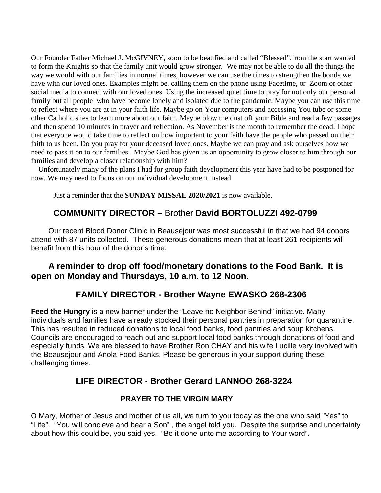Our Founder Father Michael J. McGIVNEY, soon to be beatified and called "Blessed".from the start wanted to form the Knights so that the family unit would grow stronger. We may not be able to do all the things the way we would with our families in normal times, however we can use the times to strengthen the bonds we have with our loved ones. Examples might be, calling them on the phone using Facetime, or Zoom or other social media to connect with our loved ones. Using the increased quiet time to pray for not only our personal family but all people who have become lonely and isolated due to the pandemic. Maybe you can use this time to reflect where you are at in your faith life. Maybe go on Your computers and accessing You tube or some other Catholic sites to learn more about our faith. Maybe blow the dust off your Bible and read a few passages and then spend 10 minutes in prayer and reflection. As November is the month to remember the dead. I hope that everyone would take time to reflect on how important to your faith have the people who passed on their faith to us been. Do you pray for your deceased loved ones. Maybe we can pray and ask ourselves how we need to pass it on to our families. Maybe God has given us an opportunity to grow closer to him through our families and develop a closer relationship with him?

 Unfortunately many of the plans I had for group faith development this year have had to be postponed for now. We may need to focus on our individual development instead.

Just a reminder that the **SUNDAY MISSAL 2020/2021** is now available.

#### **COMMUNITY DIRECTOR –** Brother **David BORTOLUZZI 492-0799**

Our recent Blood Donor Clinic in Beausejour was most successful in that we had 94 donors attend with 87 units collected. These generous donations mean that at least 261 recipients will benefit from this hour of the donor's time.

#### **A reminder to drop off food/monetary donations to the Food Bank. It is open on Monday and Thursdays, 10 a.m. to 12 Noon.**

#### **FAMILY DIRECTOR - Brother Wayne EWASKO 268-2306**

**Feed the Hungry** is a new banner under the "Leave no Neighbor Behind" initiative. Many individuals and families have already stocked their personal pantries in preparation for quarantine. This has resulted in reduced donations to local food banks, food pantries and soup kitchens. Councils are encouraged to reach out and support local food banks through donations of food and especially funds. We are blessed to have Brother Ron CHAY and his wife Lucille very involved with the Beausejour and Anola Food Banks. Please be generous in your support during these challenging times.

#### **LIFE DIRECTOR - Brother Gerard LANNOO 268-3224**

#### **PRAYER TO THE VIRGIN MARY**

O Mary, Mother of Jesus and mother of us all, we turn to you today as the one who said "Yes" to "Life". "You will concieve and bear a Son" , the angel told you. Despite the surprise and uncertainty about how this could be, you said yes. "Be it done unto me according to Your word".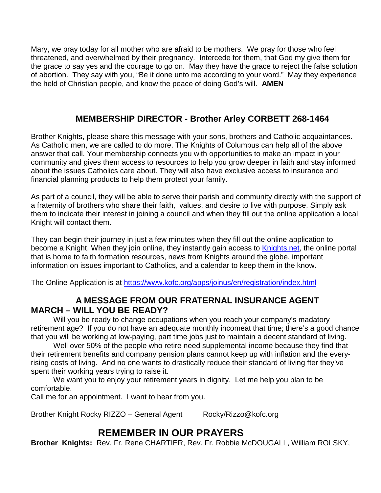Mary, we pray today for all mother who are afraid to be mothers. We pray for those who feel threatened, and overwhelmed by their pregnancy. Intercede for them, that God my give them for the grace to say yes and the courage to go on. May they have the grace to reject the false solution of abortion. They say with you, "Be it done unto me according to your word." May they experience the held of Christian people, and know the peace of doing God's will. **AMEN**

#### **MEMBERSHIP DIRECTOR - Brother Arley CORBETT 268-1464**

Brother Knights, please share this message with your sons, brothers and Catholic acquaintances. As Catholic men, we are called to do more. The Knights of Columbus can help all of the above answer that call. Your membership connects you with opportunities to make an impact in your community and gives them access to resources to help you grow deeper in faith and stay informed about the issues Catholics care about. They will also have exclusive access to insurance and financial planning products to help them protect your family.

As part of a council, they will be able to serve their parish and community directly with the support of a fraternity of brothers who share their faith, values, and desire to live with purpose. Simply ask them to indicate their interest in joining a council and when they fill out the online application a local Knight will contact them.

They can begin their journey in just a few minutes when they fill out the online application to become a Knight. When they join online, they instantly gain access to [Knights.net,](http://knights.net/) the online portal that is home to faith formation resources, news from Knights around the globe, important information on issues important to Catholics, and a calendar to keep them in the know.

The Online Application is at <https://www.kofc.org/apps/joinus/en/registration/index.html>

#### **A MESSAGE FROM OUR FRATERNAL INSURANCE AGENT MARCH – WILL YOU BE READY?**

Will you be ready to change occupations when you reach your company's madatory retirement age? If you do not have an adequate monthly incomeat that time; there's a good chance that you will be working at low-paying, part time jobs just to maintain a decent standard of living.

Well over 50% of the people who retire need supplemental income because they find that their retirement benefits and company pension plans cannot keep up with inflation and the everyrising costs of living. And no one wants to drastically reduce their standard of living fter they've spent their working years trying to raise it.

We want you to enjoy your retirement years in dignity. Let me help you plan to be comfortable.

Call me for an appointment. I want to hear from you.

Brother Knight Rocky RIZZO – General Agent Rocky/Rizzo@kofc.org

#### **REMEMBER IN OUR PRAYERS**

**Brother Knights:** Rev. Fr. Rene CHARTIER, Rev. Fr. Robbie McDOUGALL, William ROLSKY,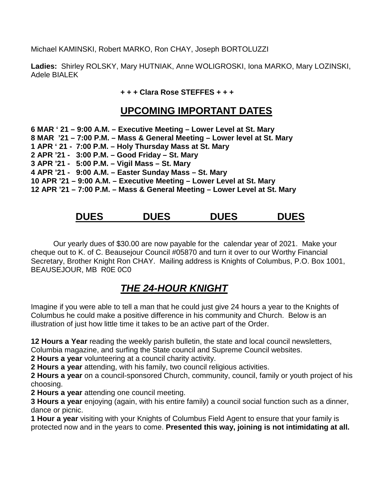Michael KAMINSKI, Robert MARKO, Ron CHAY, Joseph BORTOLUZZI

**Ladies:** Shirley ROLSKY, Mary HUTNIAK, Anne WOLIGROSKI, Iona MARKO, Mary LOZINSKI, Adele BIALEK

**+ + + Clara Rose STEFFES + + +**

#### **UPCOMING IMPORTANT DATES**

| 6 MAR ' 21 – 9:00 A.M. – Executive Meeting – Lower Level at St. Mary      |  |
|---------------------------------------------------------------------------|--|
| 8 MAR '21 – 7:00 P.M. – Mass & General Meeting – Lower level at St. Mary  |  |
| 1 APR ' 21 - 7:00 P.M. - Holy Thursday Mass at St. Mary                   |  |
| 2 APR '21 - 3:00 P.M. - Good Friday - St. Mary                            |  |
| 3 APR '21 - 5:00 P.M. - Vigil Mass - St. Mary                             |  |
| 4 APR '21 - 9:00 A.M. - Easter Sunday Mass - St. Mary                     |  |
| 10 APR '21 – 9:00 A.M. – Executive Meeting – Lower Level at St. Mary      |  |
| 12 APR '21 – 7:00 P.M. – Mass & General Meeting – Lower Level at St. Mary |  |

## **DUES DUES DUES DUES**

Our yearly dues of \$30.00 are now payable for the calendar year of 2021. Make your cheque out to K. of C. Beausejour Council #05870 and turn it over to our Worthy Financial Secretary, Brother Knight Ron CHAY. Mailing address is Knights of Columbus, P.O. Box 1001, BEAUSEJOUR, MB R0E 0C0

## *THE 24-HOUR KNIGHT*

Imagine if you were able to tell a man that he could just give 24 hours a year to the Knights of Columbus he could make a positive difference in his community and Church. Below is an illustration of just how little time it takes to be an active part of the Order.

**12 Hours a Year** reading the weekly parish bulletin, the state and local council newsletters,

Columbia magazine, and surfing the State council and Supreme Council websites.

**2 Hours a year** volunteering at a council charity activity.

**2 Hours a year** attending, with his family, two council religious activities.

**2 Hours a year** on a council-sponsored Church, community, council, family or youth project of his choosing.

**2 Hours a year** attending one council meeting.

**3 Hours a year** enjoying (again, with his entire family) a council social function such as a dinner, dance or picnic.

**1 Hour a year** visiting with your Knights of Columbus Field Agent to ensure that your family is protected now and in the years to come. **Presented this way, joining is not intimidating at all.**